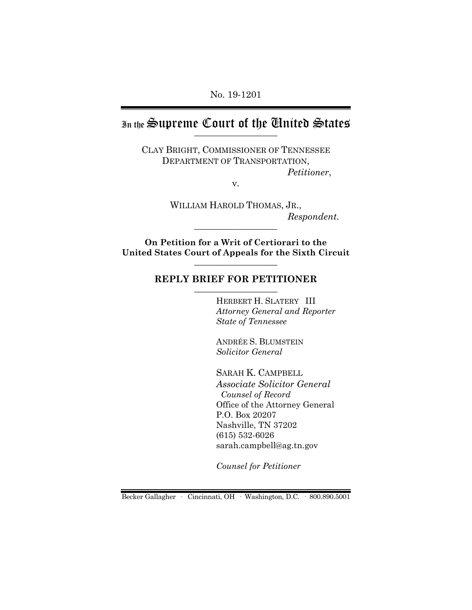No. 19-1201

# In the Supreme Court of the Chuited States

CLAY BRIGHT, COMMISSIONER OF TENNESSEE DEPARTMENT OF TRANSPORTATION, *Petitioner*,

v.

WILLIAM HAROLD THOMAS, JR.,  $Respondent.$ 

**On Petition for a Writ of Certiorari to the United States Court of Appeals for the Sixth Circuit** \_\_\_\_\_\_\_\_\_\_\_\_\_\_\_\_\_\_

### REPLY BRIEF FOR PETITIONER

HERBERT H. SLATERY III *Attorney General and Reporter State of Tennessee*

ANDRÉE S. BLUMSTEIN *Solicitor General*

SARAH K. CAMPBELL *Associate Solicitor General Counsel of Record* Office of the Attorney General P.O. Box 20207 Nashville, TN 37202 (615) 532-6026 sarah.campbell@ag.tn.gov

*Counsel for Petitioner*

Becker Gallagher · Cincinnati, OH · Washington, D.C. · 800.890.5001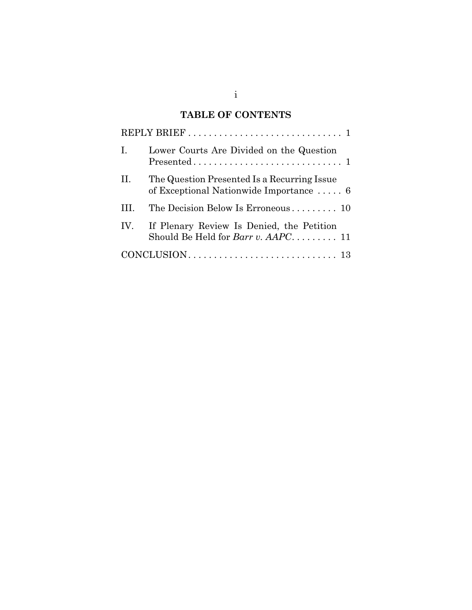# **TABLE OF CONTENTS**

| Ι.  | Lower Courts Are Divided on the Question                                                      |
|-----|-----------------------------------------------------------------------------------------------|
| II. | The Question Presented Is a Recurring Issue<br>of Exceptional Nationwide Importance $\dots$ 6 |
|     | The Decision Below Is Erroneous 10                                                            |
| IV. | If Plenary Review Is Denied, the Petition<br>Should Be Held for <i>Barr v. AAPC</i> 11        |
|     |                                                                                               |

i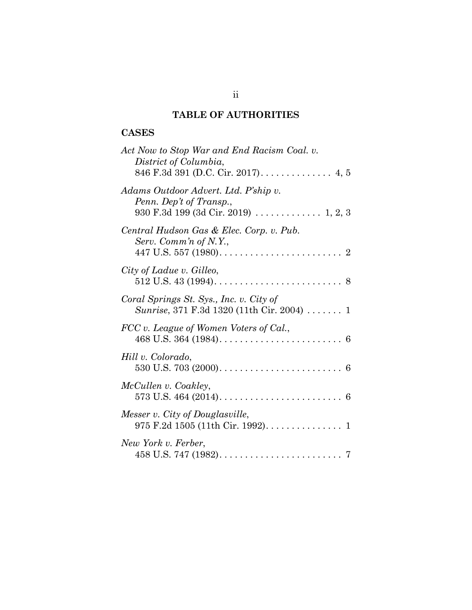# **TABLE OF AUTHORITIES**

# **CASES**

| Act Now to Stop War and End Racism Coal. v.<br>District of Columbia,                                    |
|---------------------------------------------------------------------------------------------------------|
| Adams Outdoor Advert. Ltd. P'ship v.<br>Penn. Dep't of Transp.,<br>930 F.3d 199 (3d Cir. 2019)  1, 2, 3 |
| Central Hudson Gas & Elec. Corp. v. Pub.<br>Serv. Comm'n of N.Y.,                                       |
| City of Ladue v. Gilleo,                                                                                |
| Coral Springs St. Sys., Inc. v. City of<br>Sunrise, 371 F.3d 1320 (11th Cir. 2004) $\ldots \ldots$ 1    |
| FCC v. League of Women Voters of Cal.,                                                                  |
| Hill v. Colorado,                                                                                       |
| McCullen v. Coakley,                                                                                    |
| Messer v. City of Douglasville,                                                                         |
| New York v. Ferber,                                                                                     |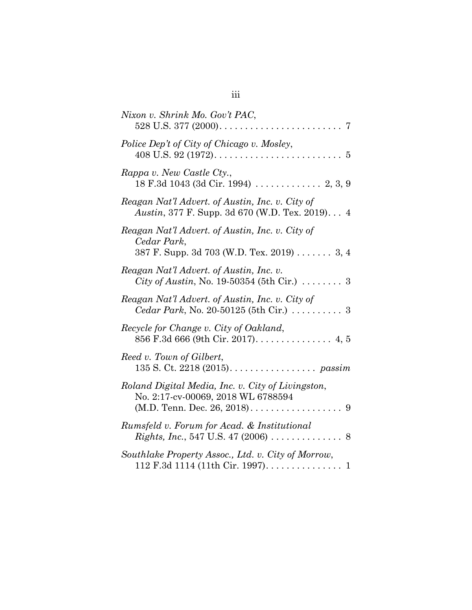| Nixon v. Shrink Mo. Gov't PAC,                                                                                           |
|--------------------------------------------------------------------------------------------------------------------------|
| Police Dep't of City of Chicago v. Mosley,                                                                               |
| Rappa v. New Castle Cty.,                                                                                                |
| Reagan Nat'l Advert. of Austin, Inc. v. City of<br><i>Austin</i> , 377 F. Supp. 3d 670 (W.D. Tex. 2019) 4                |
| Reagan Nat'l Advert. of Austin, Inc. v. City of<br>Cedar Park,<br>387 F. Supp. 3d 703 (W.D. Tex. 2019) 3, 4              |
| Reagan Nat'l Advert. of Austin, Inc. v.<br><i>City of Austin, No.</i> 19-50354 (5th Cir.) $\ldots \ldots$ 3              |
| Reagan Nat'l Advert. of Austin, Inc. v. City of<br>Cedar Park, No. 20-50125 (5th Cir.)  3                                |
| Recycle for Change v. City of Oakland,<br>856 F.3d 666 (9th Cir. 2017). 4, 5                                             |
| Reed v. Town of Gilbert,<br>135 S. Ct. 2218 (2015). $\ldots \ldots \ldots \ldots \ldots$ passim                          |
| Roland Digital Media, Inc. v. City of Livingston,<br>No. 2:17-cv-00069, 2018 WL 6788594<br>(M.D. Tenn. Dec. 26, 2018). 9 |
| Rumsfeld v. Forum for Acad. & Institutional                                                                              |
| Southlake Property Assoc., Ltd. v. City of Morrow,<br>112 F.3d 1114 (11th Cir. 1997). 1                                  |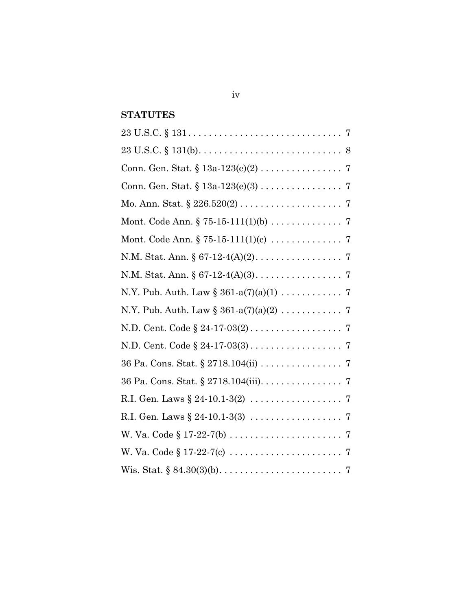# **STATUTES**

| Mo. Ann. Stat. $\S 226.520(2) \ldots \ldots \ldots \ldots \ldots \ldots \ldots 7$ |
|-----------------------------------------------------------------------------------|
|                                                                                   |
| Mont. Code Ann. $\S 75-15-111(1)(c) \ldots \ldots \ldots \ldots \ldots 7$         |
|                                                                                   |
|                                                                                   |
| N.Y. Pub. Auth. Law $\S 361-a(7)(a)(1) \ldots \ldots \ldots \ldots 7$             |
| N.Y. Pub. Auth. Law $\S 361-a(7)(a)(2) \ldots \ldots \ldots \ldots 7$             |
|                                                                                   |
|                                                                                   |
| 36 Pa. Cons. Stat. § 2718.104(ii) 7                                               |
| 36 Pa. Cons. Stat. § 2718.104(iii). 7                                             |
| R.I. Gen. Laws $\S 24 - 10.1 - 3(2) \ldots \ldots \ldots \ldots \ldots \ldots 7$  |
| R.I. Gen. Laws $\S 24 - 10.1 - 3(3) \ldots \ldots \ldots \ldots \ldots \ldots 7$  |
|                                                                                   |
|                                                                                   |
|                                                                                   |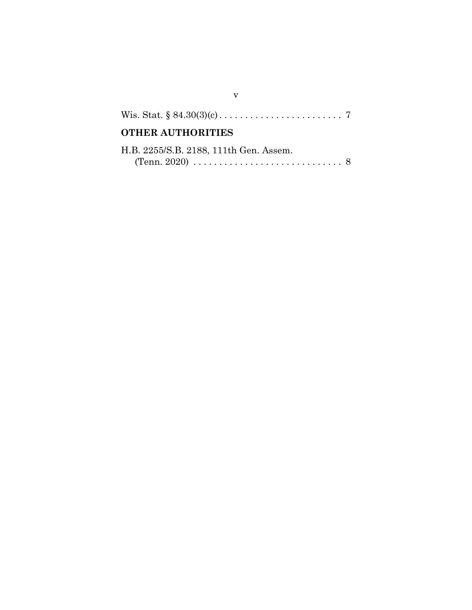| <b>OTHER AUTHORITIES</b> |  |
|--------------------------|--|

| H.B. 2255/S.B. 2188, 111th Gen. Assem.                                                 |  |
|----------------------------------------------------------------------------------------|--|
| (Tenn. 2020) $\ldots \ldots \ldots \ldots \ldots \ldots \ldots \ldots \ldots \ldots 8$ |  |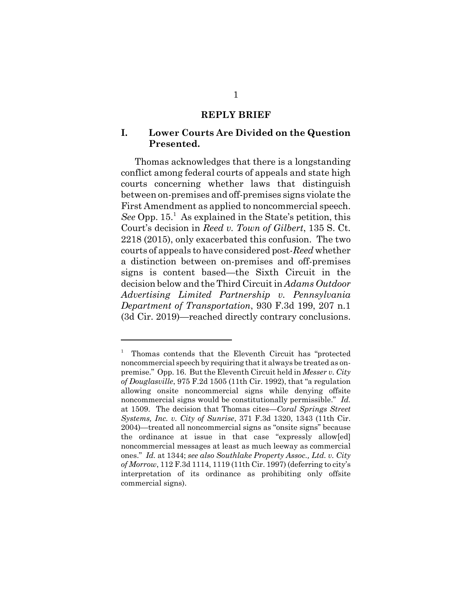#### **REPLY BRIEF**

### **I. Lower Courts Are Divided on the Question Presented.**

Thomas acknowledges that there is a longstanding conflict among federal courts of appeals and state high courts concerning whether laws that distinguish between on-premises and off-premises signs violate the First Amendment as applied to noncommercial speech. See Opp. 15.<sup>1</sup> As explained in the State's petition, this Court's decision in *Reed v. Town of Gilbert*, 135 S. Ct. 2218 (2015), only exacerbated this confusion. The two courts of appeals to have considered post-*Reed* whether a distinction between on-premises and off-premises signs is content based—the Sixth Circuit in the decision below and the Third Circuit in *Adams Outdoor Advertising Limited Partnership v. Pennsylvania Department of Transportation*, 930 F.3d 199, 207 n.1 (3d Cir. 2019)—reached directly contrary conclusions.

<sup>1</sup> Thomas contends that the Eleventh Circuit has "protected noncommercial speech by requiring that it always be treated as onpremise." Opp. 16. But the Eleventh Circuit held in *Messer v. City of Douglasville*, 975 F.2d 1505 (11th Cir. 1992), that "a regulation allowing onsite noncommercial signs while denying offsite noncommercial signs would be constitutionally permissible." *Id.* at 1509. The decision that Thomas cites—*Coral Springs Street Systems, Inc. v. City of Sunrise*, 371 F.3d 1320, 1343 (11th Cir. 2004)—treated all noncommercial signs as "onsite signs" because the ordinance at issue in that case "expressly allow[ed] noncommercial messages at least as much leeway as commercial ones." *Id.* at 1344; *see also Southlake Property Assoc., Ltd. v. City of Morrow*, 112 F.3d 1114, 1119 (11th Cir. 1997) (deferring to city's interpretation of its ordinance as prohibiting only offsite commercial signs).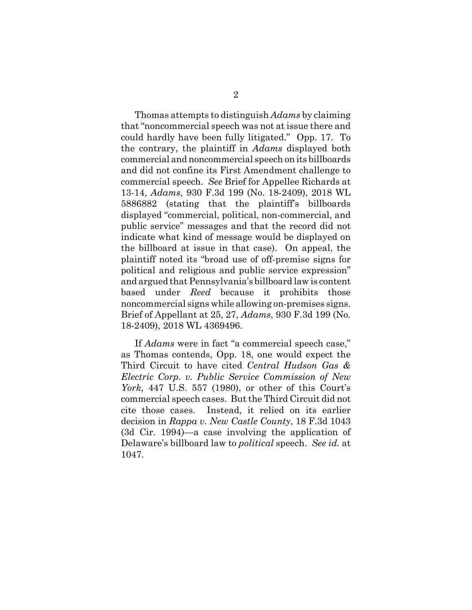Thomas attempts to distinguish *Adams* by claiming that "noncommercial speech was not at issue there and could hardly have been fully litigated." Opp. 17. To the contrary, the plaintiff in *Adams* displayed both commercial and noncommercial speech on its billboards and did not confine its First Amendment challenge to commercial speech. *See* Brief for Appellee Richards at 13-14, *Adams*, 930 F.3d 199 (No. 18-2409), 2018 WL 5886882 (stating that the plaintiff's billboards displayed "commercial, political, non-commercial, and public service" messages and that the record did not indicate what kind of message would be displayed on the billboard at issue in that case). On appeal, the plaintiff noted its "broad use of off-premise signs for political and religious and public service expression" and argued that Pennsylvania's billboard law is content based under *Reed* because it prohibits those noncommercial signs while allowing on-premises signs. Brief of Appellant at 25, 27, *Adams*, 930 F.3d 199 (No. 18-2409), 2018 WL 4369496.

If *Adams* were in fact "a commercial speech case," as Thomas contends, Opp. 18, one would expect the Third Circuit to have cited *Central Hudson Gas & Electric Corp. v. Public Service Commission of New York*, 447 U.S. 557 (1980), or other of this Court's commercial speech cases. But the Third Circuit did not cite those cases. Instead, it relied on its earlier decision in *Rappa v. New Castle County*, 18 F.3d 1043 (3d Cir. 1994)—a case involving the application of Delaware's billboard law to *political* speech. *See id.* at 1047.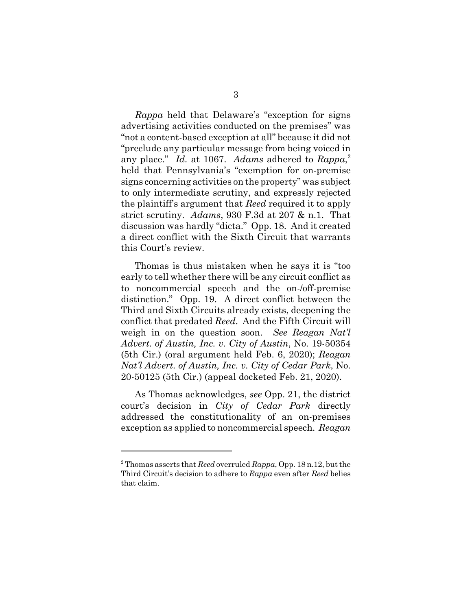*Rappa* held that Delaware's "exception for signs advertising activities conducted on the premises" was "not a content-based exception at all" because it did not "preclude any particular message from being voiced in any place." *Id.* at 1067. *Adams* adhered to *Rappa*, 2 held that Pennsylvania's "exemption for on-premise signs concerning activities on the property" was subject to only intermediate scrutiny, and expressly rejected the plaintiff's argument that *Reed* required it to apply strict scrutiny. *Adams*, 930 F.3d at 207 & n.1. That discussion was hardly "dicta." Opp. 18. And it created a direct conflict with the Sixth Circuit that warrants this Court's review.

Thomas is thus mistaken when he says it is "too early to tell whether there will be any circuit conflict as to noncommercial speech and the on-/off-premise distinction." Opp. 19. A direct conflict between the Third and Sixth Circuits already exists, deepening the conflict that predated *Reed*. And the Fifth Circuit will weigh in on the question soon. *See Reagan Nat'l Advert. of Austin, Inc. v. City of Austin*, No. 19-50354 (5th Cir.) (oral argument held Feb. 6, 2020); *Reagan Nat'l Advert. of Austin, Inc. v. City of Cedar Park*, No. 20-50125 (5th Cir.) (appeal docketed Feb. 21, 2020).

As Thomas acknowledges, *see* Opp. 21, the district court's decision in *City of Cedar Park* directly addressed the constitutionality of an on-premises exception as applied to noncommercial speech. *Reagan*

<sup>2</sup> Thomas asserts that *Reed* overruled *Rappa*, Opp. 18 n.12, but the Third Circuit's decision to adhere to *Rappa* even after *Reed* belies that claim.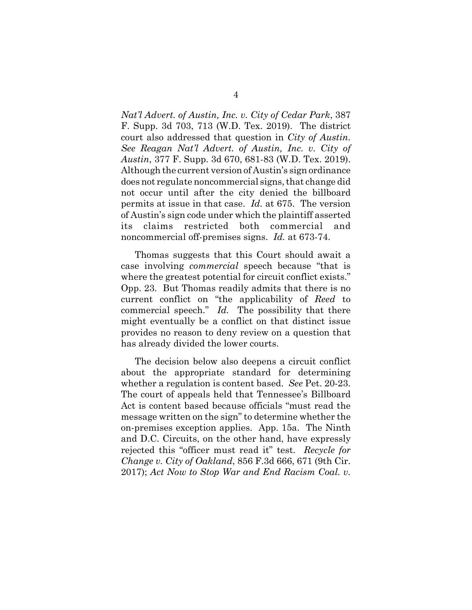*Nat'l Advert. of Austin, Inc. v. City of Cedar Park*, 387 F. Supp. 3d 703, 713 (W.D. Tex. 2019). The district court also addressed that question in *City of Austin*. *See Reagan Nat'l Advert. of Austin, Inc. v. City of Austin*, 377 F. Supp. 3d 670, 681-83 (W.D. Tex. 2019). Although the current version of Austin's sign ordinance does not regulate noncommercial signs, that change did not occur until after the city denied the billboard permits at issue in that case. *Id.* at 675. The version of Austin's sign code under which the plaintiff asserted its claims restricted both commercial and noncommercial off-premises signs. *Id.* at 673-74.

Thomas suggests that this Court should await a case involving *commercial* speech because "that is where the greatest potential for circuit conflict exists." Opp. 23. But Thomas readily admits that there is no current conflict on "the applicability of *Reed* to commercial speech." *Id.* The possibility that there might eventually be a conflict on that distinct issue provides no reason to deny review on a question that has already divided the lower courts.

The decision below also deepens a circuit conflict about the appropriate standard for determining whether a regulation is content based. *See* Pet. 20-23. The court of appeals held that Tennessee's Billboard Act is content based because officials "must read the message written on the sign" to determine whether the on-premises exception applies. App. 15a. The Ninth and D.C. Circuits, on the other hand, have expressly rejected this "officer must read it" test. *Recycle for Change v. City of Oakland*, 856 F.3d 666, 671 (9th Cir. 2017); *Act Now to Stop War and End Racism Coal. v.*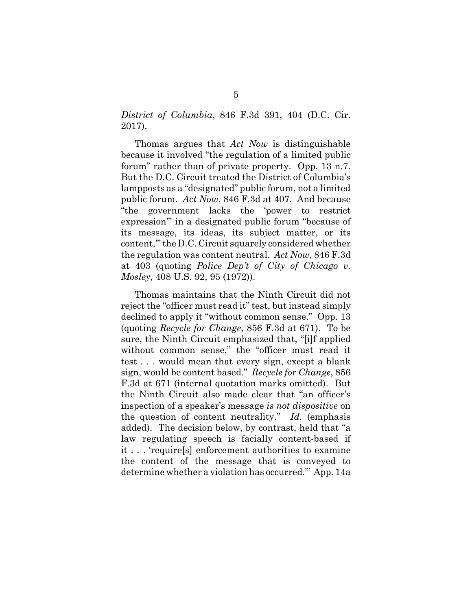*District of Columbia*, 846 F.3d 391, 404 (D.C. Cir. 2017).

Thomas argues that *Act Now* is distinguishable because it involved "the regulation of a limited public forum" rather than of private property. Opp. 13 n.7. But the D.C. Circuit treated the District of Columbia's lampposts as a "designated" public forum, not a limited public forum. *Act Now*, 846 F.3d at 407. And because "the government lacks the 'power to restrict expression'" in a designated public forum "because of its message, its ideas, its subject matter, or its content,'" the D.C. Circuit squarely considered whether the regulation was content neutral. *Act Now*, 846 F.3d at 403 (quoting *Police Dep't of City of Chicago v. Mosley*, 408 U.S. 92, 95 (1972)).

Thomas maintains that the Ninth Circuit did not reject the "officer must read it" test, but instead simply declined to apply it "without common sense." Opp. 13 (quoting *Recycle for Change*, 856 F.3d at 671). To be sure, the Ninth Circuit emphasized that, "[i]f applied without common sense," the "officer must read it test . . . would mean that every sign, except a blank sign, would be content based." *Recycle for Change*, 856 F.3d at 671 (internal quotation marks omitted). But the Ninth Circuit also made clear that "an officer's inspection of a speaker's message *is not dispositive* on the question of content neutrality." *Id.* (emphasis added). The decision below, by contrast, held that "a law regulating speech is facially content-based if it . . . 'require[s] enforcement authorities to examine the content of the message that is conveyed to determine whether a violation has occurred.'" App. 14a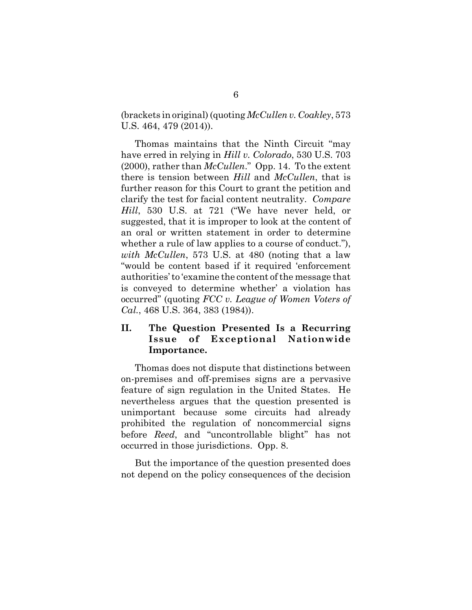(brackets in original) (quoting *McCullen v. Coakley*, 573 U.S. 464, 479 (2014)).

Thomas maintains that the Ninth Circuit "may have erred in relying in *Hill v. Colorado*, 530 U.S. 703 (2000), rather than *McCullen*." Opp. 14. To the extent there is tension between *Hill* and *McCullen*, that is further reason for this Court to grant the petition and clarify the test for facial content neutrality. *Compare Hill*, 530 U.S. at 721 ("We have never held, or suggested, that it is improper to look at the content of an oral or written statement in order to determine whether a rule of law applies to a course of conduct."), *with McCullen*, 573 U.S. at 480 (noting that a law "would be content based if it required 'enforcement authorities' to 'examine the content of the message that is conveyed to determine whether' a violation has occurred" (quoting *FCC v. League of Women Voters of Cal.*, 468 U.S. 364, 383 (1984)).

## **II. The Question Presented Is a Recurring Issue of Exceptional Nationwide Importance.**

Thomas does not dispute that distinctions between on-premises and off-premises signs are a pervasive feature of sign regulation in the United States. He nevertheless argues that the question presented is unimportant because some circuits had already prohibited the regulation of noncommercial signs before *Reed*, and "uncontrollable blight" has not occurred in those jurisdictions. Opp. 8.

But the importance of the question presented does not depend on the policy consequences of the decision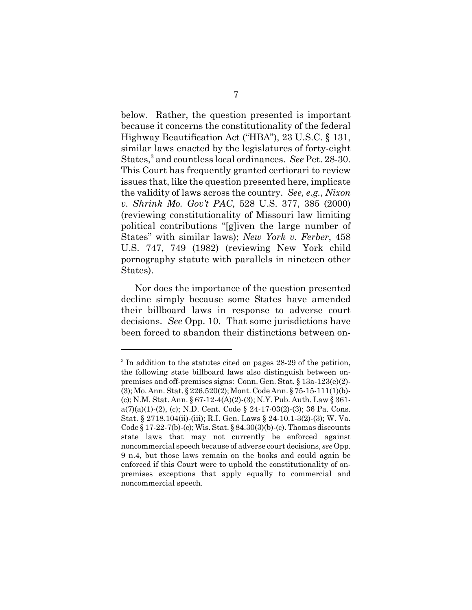below. Rather, the question presented is important because it concerns the constitutionality of the federal Highway Beautification Act ("HBA"), 23 U.S.C. § 131, similar laws enacted by the legislatures of forty-eight States,<sup>3</sup> and countless local ordinances. *See* Pet. 28-30. This Court has frequently granted certiorari to review issues that, like the question presented here, implicate the validity of laws across the country. *See, e.g.*, *Nixon v. Shrink Mo. Gov't PAC*, 528 U.S. 377, 385 (2000) (reviewing constitutionality of Missouri law limiting political contributions "[g]iven the large number of States" with similar laws); *New York v. Ferber*, 458 U.S. 747, 749 (1982) (reviewing New York child pornography statute with parallels in nineteen other States).

Nor does the importance of the question presented decline simply because some States have amended their billboard laws in response to adverse court decisions. *See* Opp. 10. That some jurisdictions have been forced to abandon their distinctions between on-

<sup>&</sup>lt;sup>3</sup> In addition to the statutes cited on pages 28-29 of the petition, the following state billboard laws also distinguish between onpremises and off-premises signs: Conn. Gen. Stat. § 13a-123(e)(2)- (3); Mo. Ann. Stat. § 226.520(2); Mont. Code Ann. § 75-15-111(1)(b)- (c); N.M. Stat. Ann. § 67-12-4(A)(2)-(3); N.Y. Pub. Auth. Law § 361  $a(7)(a)(1)-(2)$ , (c); N.D. Cent. Code § 24-17-03(2)-(3); 36 Pa. Cons. Stat. § 2718.104(ii)-(iii); R.I. Gen. Laws § 24-10.1-3(2)-(3); W. Va. Code § 17-22-7(b)-(c); Wis. Stat. § 84.30(3)(b)-(c). Thomas discounts state laws that may not currently be enforced against noncommercial speech because of adverse court decisions, *see* Opp. 9 n.4, but those laws remain on the books and could again be enforced if this Court were to uphold the constitutionality of onpremises exceptions that apply equally to commercial and noncommercial speech.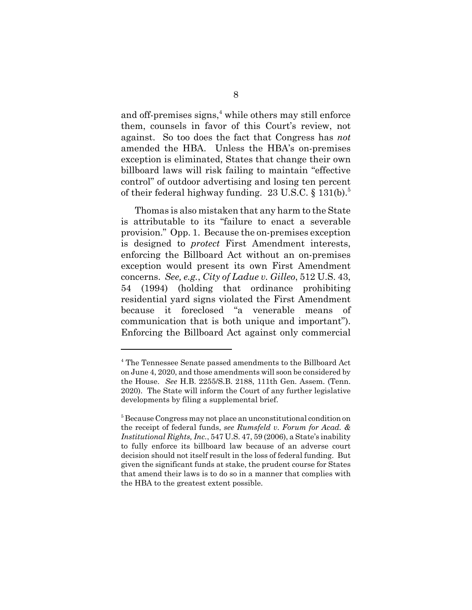and off-premises signs,<sup>4</sup> while others may still enforce them, counsels in favor of this Court's review, not against. So too does the fact that Congress has *not* amended the HBA. Unless the HBA's on-premises exception is eliminated, States that change their own billboard laws will risk failing to maintain "effective control" of outdoor advertising and losing ten percent of their federal highway funding.  $23 \text{ U.S.C.}$  §  $131(\text{b}).^5$ 

Thomas is also mistaken that any harm to the State is attributable to its "failure to enact a severable provision." Opp. 1. Because the on-premises exception is designed to *protect* First Amendment interests, enforcing the Billboard Act without an on-premises exception would present its own First Amendment concerns. *See, e.g.*, *City of Ladue v. Gilleo*, 512 U.S. 43, 54 (1994) (holding that ordinance prohibiting residential yard signs violated the First Amendment because it foreclosed "a venerable means of communication that is both unique and important"). Enforcing the Billboard Act against only commercial

<sup>4</sup> The Tennessee Senate passed amendments to the Billboard Act on June 4, 2020, and those amendments will soon be considered by the House. *See* H.B. 2255/S.B. 2188, 111th Gen. Assem. (Tenn. 2020). The State will inform the Court of any further legislative developments by filing a supplemental brief.

<sup>&</sup>lt;sup>5</sup> Because Congress may not place an unconstitutional condition on the receipt of federal funds, *see Rumsfeld v. Forum for Acad. & Institutional Rights, Inc.*, 547 U.S. 47, 59 (2006), a State's inability to fully enforce its billboard law because of an adverse court decision should not itself result in the loss of federal funding. But given the significant funds at stake, the prudent course for States that amend their laws is to do so in a manner that complies with the HBA to the greatest extent possible.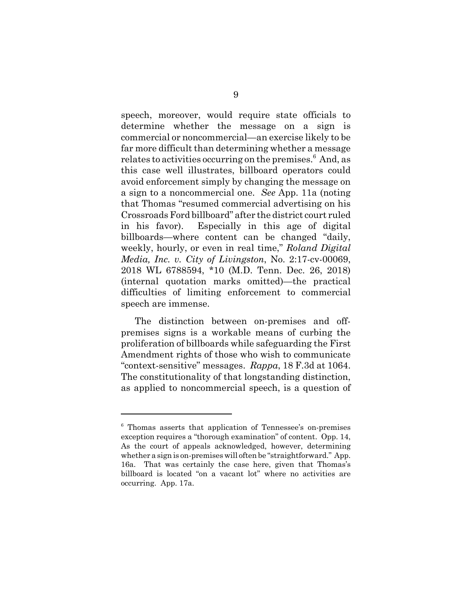speech, moreover, would require state officials to determine whether the message on a sign is commercial or noncommercial—an exercise likely to be far more difficult than determining whether a message relates to activities occurring on the premises.<sup>6</sup> And, as this case well illustrates, billboard operators could avoid enforcement simply by changing the message on a sign to a noncommercial one. *See* App. 11a (noting that Thomas "resumed commercial advertising on his Crossroads Ford billboard" after the district court ruled in his favor). Especially in this age of digital billboards—where content can be changed "daily, weekly, hourly, or even in real time," *Roland Digital Media, Inc. v. City of Livingston*, No. 2:17-cv-00069, 2018 WL 6788594, \*10 (M.D. Tenn. Dec. 26, 2018) (internal quotation marks omitted)—the practical difficulties of limiting enforcement to commercial speech are immense.

The distinction between on-premises and offpremises signs is a workable means of curbing the proliferation of billboards while safeguarding the First Amendment rights of those who wish to communicate "context-sensitive" messages. *Rappa*, 18 F.3d at 1064. The constitutionality of that longstanding distinction, as applied to noncommercial speech, is a question of

<sup>6</sup> Thomas asserts that application of Tennessee's on-premises exception requires a "thorough examination" of content. Opp. 14, As the court of appeals acknowledged, however, determining whether a sign is on-premises will often be "straightforward." App. 16a. That was certainly the case here, given that Thomas's billboard is located "on a vacant lot" where no activities are occurring. App. 17a.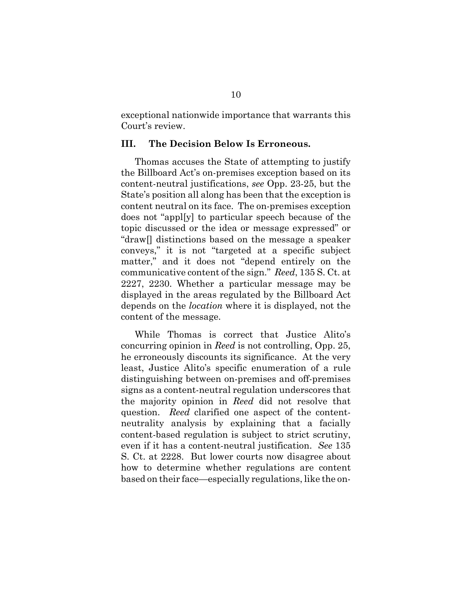exceptional nationwide importance that warrants this Court's review.

#### **III. The Decision Below Is Erroneous.**

Thomas accuses the State of attempting to justify the Billboard Act's on-premises exception based on its content-neutral justifications, *see* Opp. 23-25, but the State's position all along has been that the exception is content neutral on its face. The on-premises exception does not "appl[y] to particular speech because of the topic discussed or the idea or message expressed" or "draw[] distinctions based on the message a speaker conveys," it is not "targeted at a specific subject matter," and it does not "depend entirely on the communicative content of the sign." *Reed*, 135 S. Ct. at 2227, 2230. Whether a particular message may be displayed in the areas regulated by the Billboard Act depends on the *location* where it is displayed, not the content of the message.

While Thomas is correct that Justice Alito's concurring opinion in *Reed* is not controlling, Opp. 25, he erroneously discounts its significance. At the very least, Justice Alito's specific enumeration of a rule distinguishing between on-premises and off-premises signs as a content-neutral regulation underscores that the majority opinion in *Reed* did not resolve that question. *Reed* clarified one aspect of the contentneutrality analysis by explaining that a facially content-based regulation is subject to strict scrutiny, even if it has a content-neutral justification. *See* 135 S. Ct. at 2228. But lower courts now disagree about how to determine whether regulations are content based on their face—especially regulations, like the on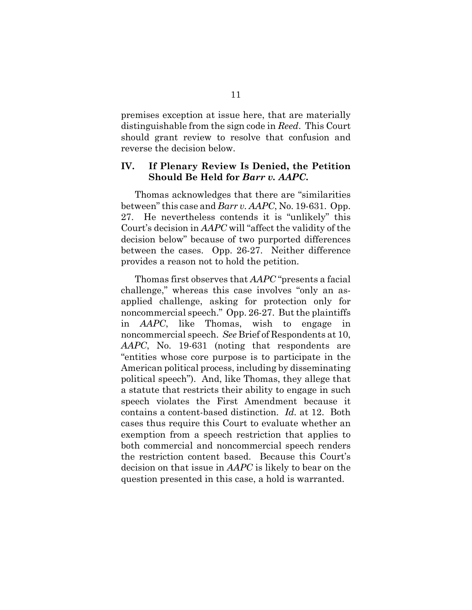premises exception at issue here, that are materially distinguishable from the sign code in *Reed*. This Court should grant review to resolve that confusion and reverse the decision below.

### **IV. If Plenary Review Is Denied, the Petition Should Be Held for** *Barr v. AAPC***.**

Thomas acknowledges that there are "similarities between" this case and *Barr v. AAPC*, No. 19-631. Opp. 27. He nevertheless contends it is "unlikely" this Court's decision in *AAPC* will "affect the validity of the decision below" because of two purported differences between the cases. Opp. 26-27. Neither difference provides a reason not to hold the petition.

Thomas first observes that *AAPC* "presents a facial challenge," whereas this case involves "only an asapplied challenge, asking for protection only for noncommercial speech." Opp. 26-27. But the plaintiffs in *AAPC*, like Thomas, wish to engage in noncommercial speech. *See* Brief of Respondents at 10, *AAPC*, No. 19-631 (noting that respondents are "entities whose core purpose is to participate in the American political process, including by disseminating political speech"). And, like Thomas, they allege that a statute that restricts their ability to engage in such speech violates the First Amendment because it contains a content-based distinction. *Id.* at 12. Both cases thus require this Court to evaluate whether an exemption from a speech restriction that applies to both commercial and noncommercial speech renders the restriction content based. Because this Court's decision on that issue in *AAPC* is likely to bear on the question presented in this case, a hold is warranted.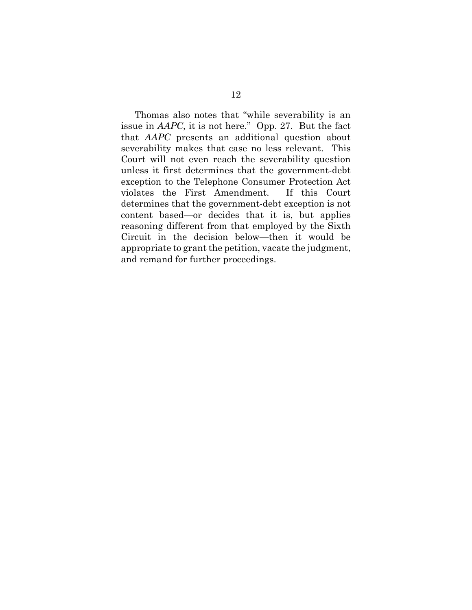Thomas also notes that "while severability is an issue in *AAPC*, it is not here." Opp. 27. But the fact that *AAPC* presents an additional question about severability makes that case no less relevant. This Court will not even reach the severability question unless it first determines that the government-debt exception to the Telephone Consumer Protection Act violates the First Amendment. If this Court determines that the government-debt exception is not content based—or decides that it is, but applies reasoning different from that employed by the Sixth Circuit in the decision below—then it would be appropriate to grant the petition, vacate the judgment, and remand for further proceedings.